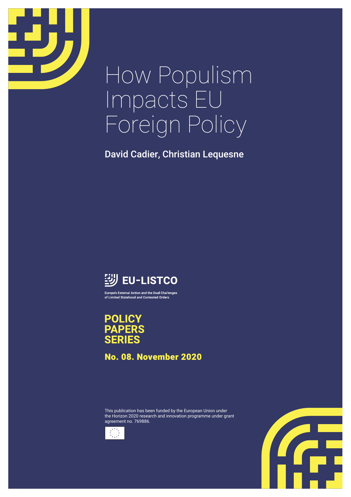

# How Populism Impacts EU Foreign Policy

David Cadier, Christian Lequesne



Europe's External Action and the Dual Challenges of Limited Statehood and Contested Orders

**POLICY PAPERS SERIES** 

No. 08. November 2020

This publication has been funded by the European Union under the Horizon 2020 research and innovation programme under grant agreement no. 769886.



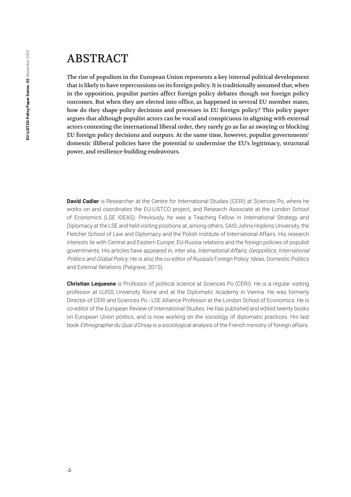#### ABSTRACT

The rise of populism in the European Union represents a key internal political development that is likely to have repercussions on its foreign policy. It is traditionally assumed that, when in the opposition, populist parties affect foreign policy debates though not foreign policy outcomes. But when they are elected into office, as happened in several EU member states, how do they shape policy decisions and processes in EU foreign policy? This policy paper argues that although populist actors can be vocal and conspicuous in aligning with external actors contesting the international liberal order, they rarely go as far as swaying or blocking EU foreign policy decisions and outputs. At the same time, however, populist governments' domestic illiberal policies have the potential to undermine the EU's legitimacy, structural power, and resilience-building endeavours.

**David Cadier** is Researcher at the Centre for International Studies (CERI) at Sciences Po, where he works on and coordinates the EU-LISTCO project, and Research Associate at the London School of Economics (LSE IDEAS). Previously, he was a Teaching Fellow in International Strategy and Diplomacy at the LSE and held visiting positions at, among others, SAIS Johns Hopkins University, the Fletcher School of Law and Diplomacy and the Polish Institute of International Affairs. His research interests lie with Central and Eastern Europe, EU-Russia relations and the foreign policies of populist governments. His articles have appeared in, inter alia, International Affairs, Geopolitics, International Politics and Global Policy. He is also the co-editor of Russia's Foreign Policy: Ideas, Domestic Politics and External Relations (Palgrave, 2015).

**Christian Lequesne** is Professor of political science at Sciences Po (CERI). He is a regular visiting professor at LUISS University Rome and at the Diplomatic Academy in Vienna. He was formerly Director of CERI and Sciences Po - LSE Alliance Professor at the London School of Economics. He is co-editor of the European Review of International Studies. He has published and edited twenty books on European Union politics, and is now working on the sociology of diplomatic practices. His last book *Ethnographie du Quai d'Orsay* is a sociological analysis of the French ministry of foreign affairs.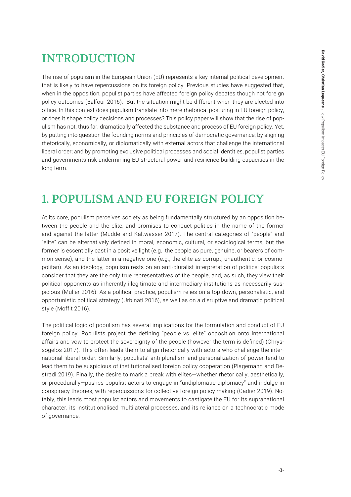# **INTRODUCTION**

The rise of populism in the European Union (EU) represents a key internal political development that is likely to have repercussions on its foreign policy. Previous studies have suggested that, when in the opposition, populist parties have affected foreign policy debates though not foreign policy outcomes (Balfour 2016). But the situation might be different when they are elected into office. In this context does populism translate into mere rhetorical posturing in EU foreign policy, or does it shape policy decisions and processes? This policy paper will show that the rise of populism has not, thus far, dramatically affected the substance and process of EU foreign policy. Yet, by putting into question the founding norms and principles of democratic governance; by aligning rhetorically, economically, or diplomatically with external actors that challenge the international liberal order; and by promoting exclusive political processes and social identities, populist parties and governments risk undermining EU structural power and resilience-building capacities in the long term.

# 1. POPULISM AND EU FOREIGN POLICY

At its core, populism perceives society as being fundamentally structured by an opposition between the people and the elite, and promises to conduct politics in the name of the former and against the latter (Mudde and Kaltwasser 2017). The central categories of "people" and "elite" can be alternatively defined in moral, economic, cultural, or sociological terms, but the former is essentially cast in a positive light (e.g., the people as pure, genuine, or bearers of common-sense), and the latter in a negative one (e.g., the elite as corrupt, unauthentic, or cosmopolitan). As an ideology, populism rests on an anti-pluralist interpretation of politics: populists consider that they are the only true representatives of the people, and, as such, they view their political opponents as inherently illegitimate and intermediary institutions as necessarily suspicious (Muller 2016). As a political practice, populism relies on a top-down, personalistic, and opportunistic political strategy (Urbinati 2016), as well as on a disruptive and dramatic political style (Moffit 2016).

The political logic of populism has several implications for the formulation and conduct of EU foreign policy. Populists project the defining "people vs. elite" opposition onto international affairs and vow to protect the sovereignty of the people (however the term is defined) (Chryssogelos 2017). This often leads them to align rhetorically with actors who challenge the international liberal order. Similarly, populists' anti-pluralism and personalization of power tend to lead them to be suspicious of institutionalised foreign policy cooperation (Plagemann and Destradi 2019). Finally, the desire to mark a break with elites—whether rhetorically, aesthetically, or procedurally—pushes populist actors to engage in "undiplomatic diplomacy" and indulge in conspiracy theories, with repercussions for collective foreign policy making (Cadier 2019). Notably, this leads most populist actors and movements to castigate the EU for its supranational character, its institutionalised multilateral processes, and its reliance on a technocratic mode of governance.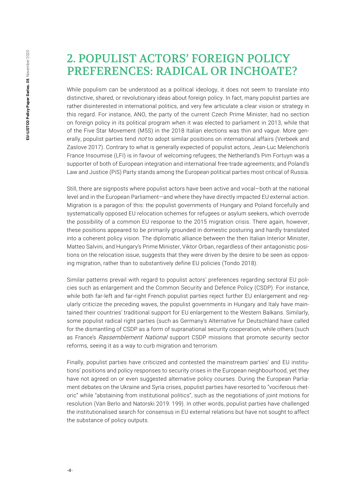#### 2. POPULIST ACTORS' FOREIGN POLICY PREFERENCES: RADICAL OR INCHOATE?

While populism can be understood as a political ideology, it does not seem to translate into distinctive, shared, or revolutionary ideas about foreign policy. In fact, many populist parties are rather disinterested in international politics, and very few articulate a clear vision or strategy in this regard. For instance, ANO, the party of the current Czech Prime Minister, had no section on foreign policy in its political program when it was elected to parliament in 2013, while that of the Five Star Movement (M5S) in the 2018 Italian elections was thin and vague. More generally, populist parties tend not to adopt similar positions on international affairs (Verbeek and Zaslove 2017). Contrary to what is generally expected of populist actors, Jean-Luc Melenchon's France Insoumise (LFI) is in favour of welcoming refugees; the Netherland's Pim Fortuyn was a supporter of both of European integration and international free-trade agreements; and Poland's Law and Justice (PiS) Party stands among the European political parties most critical of Russia.

Still, there are signposts where populist actors have been active and vocal—both at the national level and in the European Parliament—and where they have directly impacted EU external action. Migration is a paragon of this: the populist governments of Hungary and Poland forcefully and systematically opposed EU relocation schemes for refugees or asylum seekers, which overrode the possibility of a common EU response to the 2015 migration crisis. There again, however, these positions appeared to be primarily grounded in domestic posturing and hardly translated into a coherent policy vision. The diplomatic alliance between the then Italian Interior Minister, Matteo Salvini, and Hungary's Prime Minister, Viktor Orban, regardless of their antagonistic positions on the relocation issue, suggests that they were driven by the desire to be seen as opposing migration, rather than to substantively define EU policies (Tondo 2018).

Similar patterns prevail with regard to populist actors' preferences regarding sectoral EU policies such as enlargement and the Common Security and Defence Policy (CSDP). For instance, while both far-left and far-right French populist parties reject further EU enlargement and regularly criticize the preceding waves, the populist governments in Hungary and Italy have maintained their countries' traditional support for EU enlargement to the Western Balkans. Similarly, some populist radical right parties (such as Germany's Alternative fur Deutschland have called for the dismantling of CSDP as a form of supranational security cooperation, while others (such as France's Rassemblement National support CSDP missions that promote security sector reforms, seeing it as a way to curb migration and terrorism.

Finally, populist parties have criticized and contested the mainstream parties' and EU institutions' positions and policy responses to security crises in the European neighbourhood, yet they have not agreed on or even suggested alternative policy courses. During the European Parliament debates on the Ukraine and Syria crises, populist parties have resorted to "vociferous rhetoric" while "abstaining from institutional politics", such as the negotiations of joint motions for resolution (Van Berlo and Natorski 2019: 199). In other words, populist parties have challenged the institutionalised search for consensus in EU external relations but have not sought to affect the substance of policy outputs.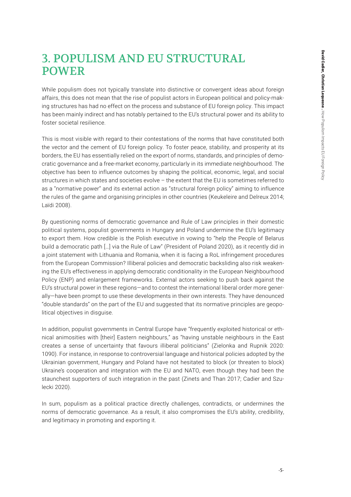## 3. POPULISM AND EU STRUCTURAL POWER

While populism does not typically translate into distinctive or convergent ideas about foreign affairs, this does not mean that the rise of populist actors in European political and policy-making structures has had no effect on the process and substance of EU foreign policy. This impact has been mainly indirect and has notably pertained to the EU's structural power and its ability to foster societal resilience.

This is most visible with regard to their contestations of the norms that have constituted both the vector and the cement of EU foreign policy. To foster peace, stability, and prosperity at its borders, the EU has essentially relied on the export of norms, standards, and principles of democratic governance and a free-market economy, particularly in its immediate neighbourhood. The objective has been to influence outcomes by shaping the political, economic, legal, and social structures in which states and societies evolve – the extent that the EU is sometimes referred to as a "normative power" and its external action as "structural foreign policy" aiming to influence the rules of the game and organising principles in other countries (Keukeleire and Delreux 2014; Laïdi 2008).

By questioning norms of democratic governance and Rule of Law principles in their domestic political systems, populist governments in Hungary and Poland undermine the EU's legitimacy to export them. How credible is the Polish executive in vowing to "help the People of Belarus build a democratic path […] via the Rule of Law" (President of Poland 2020), as it recently did in a joint statement with Lithuania and Romania, when it is facing a RoL infringement procedures from the European Commission? Illiberal policies and democratic backsliding also risk weakening the EU's effectiveness in applying democratic conditionality in the European Neighbourhood Policy (ENP) and enlargement frameworks. External actors seeking to push back against the EU's structural power in these regions—and to contest the international liberal order more generally—have been prompt to use these developments in their own interests. They have denounced "double standards" on the part of the EU and suggested that its normative principles are geopolitical objectives in disguise.

In addition, populist governments in Central Europe have "frequently exploited historical or ethnical animosities with [their] Eastern neighbours," as "having unstable neighbours in the East creates a sense of uncertainty that favours illiberal politicians" (Zielonka and Rupnik 2020: 1090). For instance, in response to controversial language and historical policies adopted by the Ukrainian government, Hungary and Poland have not hesitated to block (or threaten to block) Ukraine's cooperation and integration with the EU and NATO, even though they had been the staunchest supporters of such integration in the past (Zinets and Than 2017; Cadier and Szulecki 2020).

In sum, populism as a political practice directly challenges, contradicts, or undermines the norms of democratic governance. As a result, it also compromises the EU's ability, credibility, and legitimacy in promoting and exporting it.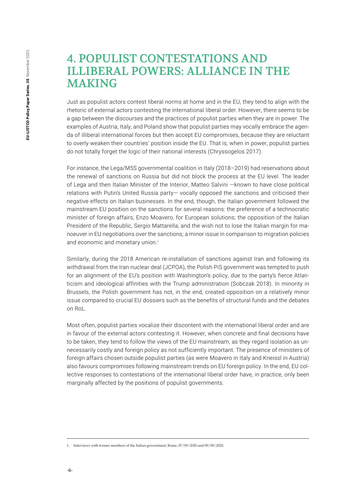#### 4. POPULIST CONTESTATIONS AND ILLIBERAL POWERS: ALLIANCE IN THE MAKING

Just as populist actors contest liberal norms at home and in the EU, they tend to align with the rhetoric of external actors contesting the international liberal order. However, there seems to be a gap between the discourses and the practices of populist parties when they are in power. The examples of Austria, Italy, and Poland show that populist parties may vocally embrace the agenda of illiberal international forces but then accept EU compromises, because they are reluctant to overly weaken their countries' position inside the EU. That is, when in power, populist parties do not totally forget the logic of their national interests (Chryssogelos 2017).

For instance, the Lega/M5S governmental coalition in Italy (2018–2019) had reservations about the renewal of sanctions on Russia but did not block the process at the EU level. The leader of Lega and then Italian Minister of the Interior, Matteo Salvini —known to have close political relations with Putin's United Russia party— vocally opposed the sanctions and criticised their negative effects on Italian businesses. In the end, though, the Italian government followed the mainstream EU position on the sanctions for several reasons: the preference of a technocratic minister of foreign affairs, Enzo Moavero, for European solutions; the opposition of the Italian President of the Republic, Sergio Mattarella; and the wish not to lose the Italian margin for manoeuver in EU negotiations over the sanctions; a minor issue in comparison to migration policies and economic and monetary union.<sup>1</sup>

Similarly, during the 2018 American re-installation of sanctions against Iran and following its withdrawal from the Iran nuclear deal (JCPOA), the Polish PiS government was tempted to push for an alignment of the EU's position with Washington's policy, due to the party's fierce Atlanticism and ideological affinities with the Trump administration (Sobczak 2018). In minority in Brussels, the Polish government has not, in the end, created opposition on a relatively minor issue compared to crucial EU dossiers such as the benefits of structural funds and the debates on RoL.

Most often, populist parties vocalize their discontent with the international liberal order and are in favour of the external actors contesting it. However, when concrete and final decisions have to be taken, they tend to follow the views of the EU mainstream, as they regard isolation as unnecessarily costly and foreign policy as not sufficiently important. The presence of ministers of foreign affairs chosen outside populist parties (as were Moavero in Italy and Kneissl in Austria) also favours compromises following mainstream trends on EU foreign policy. In the end, EU collective responses to contestations of the international liberal order have, in practice, only been marginally affected by the positions of populist governments.

<sup>1.</sup> Interviews with former members of the Italian government, Rome, 07/09/2020 and 09/09/2020.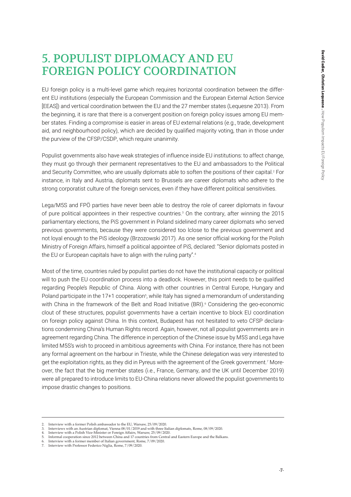# 5. POPULIST DIPLOMACY AND EU FOREIGN POLICY COORDINATION

EU foreign policy is a multi-level game which requires horizontal coordination between the different EU institutions (especially the European Commission and the European External Action Service [EEAS]) and vertical coordination between the EU and the 27 member states (Lequesne 2013). From the beginning, it is rare that there is a convergent position on foreign policy issues among EU member states. Finding a compromise is easier in areas of EU external relations (e.g., trade, development aid, and neighbourhood policy), which are decided by qualified majority voting, than in those under the purview of the CFSP/CSDP, which require unanimity.

Populist governments also have weak strategies of influence inside EU institutions: to affect change, they must go through their permanent representatives to the EU and ambassadors to the Political and Security Committee, who are usually diplomats able to soften the positions of their capital.<sup>2</sup> For instance, in Italy and Austria, diplomats sent to Brussels are career diplomats who adhere to the strong corporatist culture of the foreign services, even if they have different political sensitivities.

Lega/M5S and FPÖ parties have never been able to destroy the role of career diplomats in favour of pure political appointees in their respective countries.<sup>3</sup> On the contrary, after winning the 2015 parliamentary elections, the PiS government in Poland sidelined many career diplomats who served previous governments, because they were considered too lclose to the previous government and not loyal enough to the PiS ideology (Brzozowski 2017). As one senior official working for the Polish Ministry of Foreign Affairs, himself a political appointee of PiS, declared: "Senior diplomats posted in the EU or European capitals have to align with the ruling party".<sup>4</sup>

Most of the time, countries ruled by populist parties do not have the institutional capacity or political will to push the EU coordination process into a deadlock. However, this point needs to be qualified regarding People's Republic of China. Along with other countries in Central Europe, Hungary and Poland participate in the 17+1 cooperation<sup>5</sup>, while Italy has signed a memorandum of understanding with China in the framework of the Belt and Road Initiative (BRI).<sup>6</sup> Considering the geo-economic clout of these structures, populist governments have a certain incentive to block EU coordination on foreign policy against China. In this context, Budapest has not hesitated to veto CFSP declarations condemning China's Human Rights record. Again, however, not all populist governments are in agreement regarding China. The difference in perception of the Chinese issue by M5S and Lega have limited M5S's wish to proceed in ambitious agreements with China. For instance, there has not been any formal agreement on the harbour in Trieste, while the Chinese delegation was very interested to get the exploitation rights, as they did in Pyreus with the agreement of the Greek government.7 Moreover, the fact that the big member states (i.e., France, Germany, and the UK until December 2019) were all prepared to introduce limits to EU-China relations never allowed the populist governments to impose drastic changes to positions.

<sup>2.</sup> Interview with a former Polish ambassador to the EU, Warsaw,  $25/09/2020$ .<br>3. Interviews with an Austrian diplomat Vienna 08/01/2019 and with three It

<sup>3.</sup> Interviews with an Austrian diplomat, Vienna 08/01/2019 and with three Italian diplomats, Rome, 08/09/2020.

<sup>4.</sup> Interview with a Polish Vice-Minister or Foreign Affairs, Warsaw, 25/09/2020.<br>5. Informal cooperation since 2012 between China and 17 countries from Central 5. Informal cooperation since 2012 between China and 17 countries from Central and Eastern Europe and the Balkans.<br>6. Interview with a former member of Italian government, Rome, 7/09/2020.<br>7. Interview with Professor Feder

<sup>6.</sup> Interview with a former member of Italian government, Rome, 7/09/2020. 7. Interview with Professor Federico Niglia, Rome, 7/09/2020.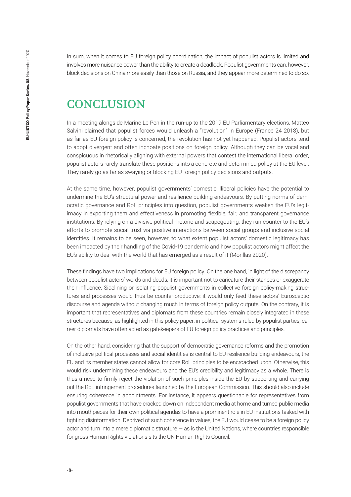In sum, when it comes to EU foreign policy coordination, the impact of populist actors is limited and involves more nuisance power than the ability to create a deadlock. Populist governments can, however, block decisions on China more easily than those on Russia, and they appear more determined to do so.

### **CONCLUSION**

In a meeting alongside Marine Le Pen in the run-up to the 2019 EU Parliamentary elections, Matteo Salvini claimed that populist forces would unleash a "revolution" in Europe (France 24 2018), but as far as EU foreign policy is concerned, the revolution has not yet happened. Populist actors tend to adopt divergent and often inchoate positions on foreign policy. Although they can be vocal and conspicuous in rhetorically aligning with external powers that contest the international liberal order, populist actors rarely translate these positions into a concrete and determined policy at the EU level. They rarely go as far as swaying or blocking EU foreign policy decisions and outputs.

At the same time, however, populist governments' domestic illiberal policies have the potential to undermine the EU's structural power and resilience-building endeavours. By putting norms of democratic governance and RoL principles into question, populist governments weaken the EU's legitimacy in exporting them and effectiveness in promoting flexible, fair, and transparent governance institutions. By relying on a divisive political rhetoric and scapegoating, they run counter to the EU's efforts to promote social trust via positive interactions between social groups and inclusive social identities. It remains to be seen, however, to what extent populist actors' domestic legitimacy has been impacted by their handling of the Covid-19 pandemic and how populist actors might affect the EU's ability to deal with the world that has emerged as a result of it (Morillas 2020).

These findings have two implications for EU foreign policy. On the one hand, in light of the discrepancy between populist actors' words and deeds, it is important not to caricature their stances or exaggerate their influence. Sidelining or isolating populist governments in collective foreign policy-making structures and processes would thus be counter-productive: it would only feed these actors' Eurosceptic discourse and agenda without changing much in terms of foreign policy outputs. On the contrary, it is important that representatives and diplomats from these countries remain closely integrated in these structures because, as highlighted in this policy paper, in political systems ruled by populist parties, career diplomats have often acted as gatekeepers of EU foreign policy practices and principles.

On the other hand, considering that the support of democratic governance reforms and the promotion of inclusive political processes and social identities is central to EU resilience-building endeavours, the EU and its member states cannot allow for core RoL principles to be encroached upon. Otherwise, this would risk undermining these endeavours and the EU's credibility and legitimacy as a whole. There is thus a need to firmly reject the violation of such principles inside the EU by supporting and carrying out the RoL infringement procedures launched by the European Commission. This should also include ensuring coherence in appointments. For instance, it appears questionable for representatives from populist governments that have cracked down on independent media at home and turned public media into mouthpieces for their own political agendas to have a prominent role in EU institutions tasked with fighting disinformation. Deprived of such coherence in values, the EU would cease to be a foreign policy actor and turn into a mere diplomatic structure — as is the United Nations, where countries responsible for gross Human Rights violations sits the UN Human Rights Council.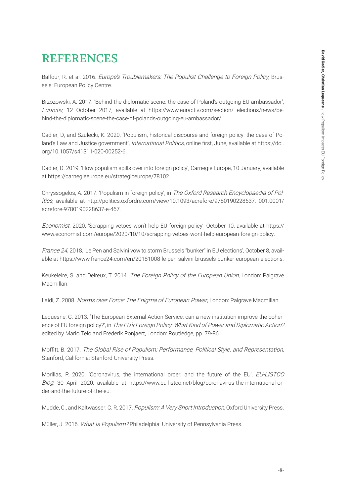# REFERENCES

Balfour, R. et al. 2016. Europe's Troublemakers: The Populist Challenge to Foreign Policy, Brussels: European Policy Centre.

Brzozowski, A. 2017. 'Behind the diplomatic scene: the case of Poland's outgoing EU ambassador', Euractiv, 12 October 2017, available at https://www.euractiv.com/section/ elections/news/behind-the-diplomatic-scene-the-case-of-polands-outgoing-eu-ambassador/.

Cadier, D, and Szulecki, K. 2020. 'Populism, historical discourse and foreign policy: the case of Poland's Law and Justice government', International Politics, online first, June, available at https://doi. org/10.1057/s41311-020-00252-6.

Cadier, D. 2019. 'How populism spills over into foreign policy', Carnegie Europe, 10 January, available at https://carnegieeurope.eu/strategiceurope/78102.

Chryssogelos, A. 2017. 'Populism in foreign policy', in The Oxford Research Encyclopaedia of Politics, available at http://politics.oxfordre.com/view/10.1093/acrefore/9780190228637. 001.0001/ acrefore-9780190228637-e-467.

Economist. 2020. 'Scrapping vetoes won't help EU foreign policy', October 10, available at https:// www.economist.com/europe/2020/10/10/scrapping-vetoes-wont-help-european-foreign-policy.

France 24. 2018. 'Le Pen and Salvini vow to storm Brussels "bunker" in EU elections', October 8, available at https://www.france24.com/en/20181008-le-pen-salvini-brussels-bunker-european-elections.

Keukeleire, S. and Delreux, T. 2014. The Foreign Policy of the European Union, London: Palgrave Macmillan.

Laidi, Z. 2008. Norms over Force: The Enigma of European Power, London: Palgrave Macmillan.

Lequesne, C. 2013. 'The European External Action Service: can a new institution improve the coherence of EU foreign policy?', in The EU's Foreign Policy: What Kind of Power and Diplomatic Action? edited by Mario Telo and Frederik Ponjaert, London: Routledge, pp. 79-86.

Moffitt, B. 2017. The Global Rise of Populism: Performance, Political Style, and Representation, Stanford, California: Stanford University Press.

Morillas, P. 2020. 'Coronavirus, the international order, and the future of the EU', EU-LISTCO Blog, 30 April 2020, available at https://www.eu-listco.net/blog/coronavirus-the-international-order-and-the-future-of-the-eu.

Mudde, C., and Kaltwasser, C. R. 2017. Populism: A Very Short Introduction, Oxford University Press.

Müller, J. 2016. What Is Populism? Philadelphia: University of Pennsylvania Press.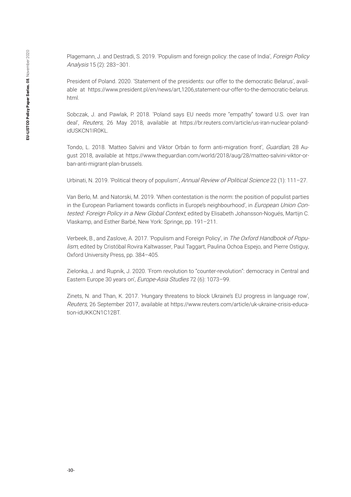Plagemann, J. and Destradi, S. 2019. 'Populism and foreign policy: the case of India', Foreign Policy Analysis 15 (2): 283–301.

President of Poland. 2020. 'Statement of the presidents: our offer to the democratic Belarus', available at https://www.president.pl/en/news/art,1206,statement-our-offer-to-the-democratic-belarus. html.

Sobczak, J. and Pawlak, P. 2018. 'Poland says EU needs more "empathy" toward U.S. over Iran deal', Reuters, 26 May 2018, available at https://br.reuters.com/article/us-iran-nuclear-polandidUSKCN1IR0KL.

Tondo, L. 2018. 'Matteo Salvini and Viktor Orbán to form anti-migration front', Guardian, 28 August 2018, available at https://www.theguardian.com/world/2018/aug/28/matteo-salvini-viktor-orban-anti-migrant-plan-brussels.

Urbinati, N. 2019. 'Political theory of populism', Annual Review of Political Science 22 (1): 111-27.

Van Berlo, M. and Natorski, M. 2019. 'When contestation is the norm: the position of populist parties in the European Parliament towards conflicts in Europe's neighbourhood', in *European Union Con*tested: Foreign Policy in a New Global Context, edited by Elisabeth Johansson-Nogués, Martijn C. Vlaskamp, and Esther Barbé, New York: Springe, pp. 191–211.

Verbeek, B., and Zaslove, A. 2017. 'Populism and Foreign Policy', in The Oxford Handbook of Populism, edited by Cristóbal Rovira Kaltwasser, Paul Taggart, Paulina Ochoa Espejo, and Pierre Ostiguy, Oxford University Press, pp. 384–405.

Zielonka, J. and Rupnik, J. 2020. 'From revolution to "counter-revolution": democracy in Central and Eastern Europe 30 years on', Europe-Asia Studies 72 (6): 1073–99.

Zinets, N. and Than, K. 2017. 'Hungary threatens to block Ukraine's EU progress in language row', Reuters, 26 September 2017, available at https://www.reuters.com/article/uk-ukraine-crisis-education-idUKKCN1C12BT.